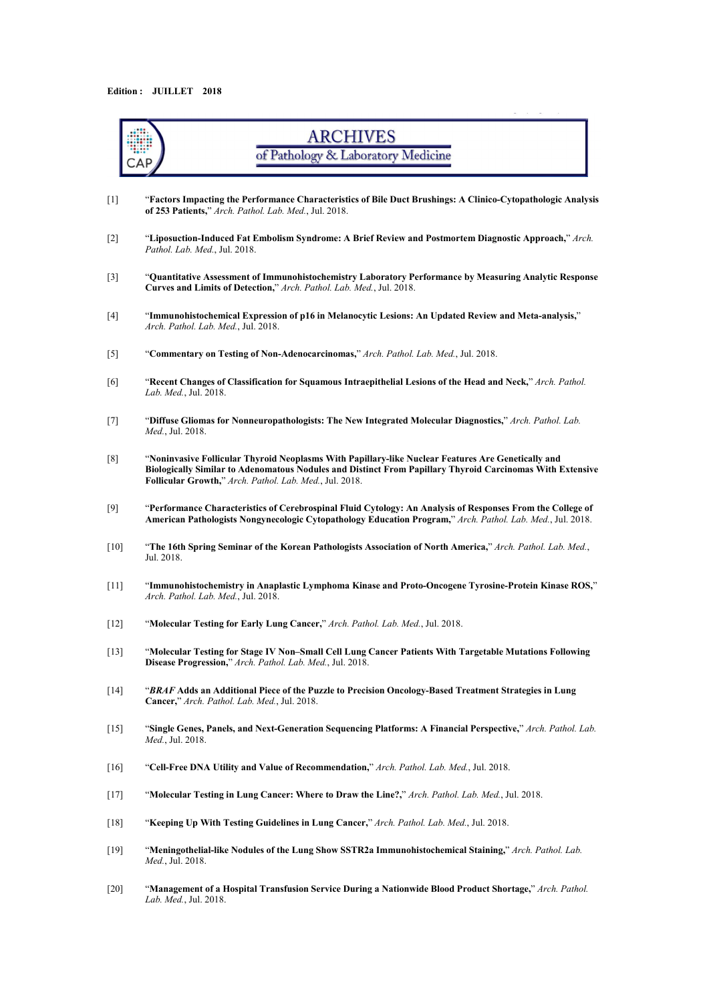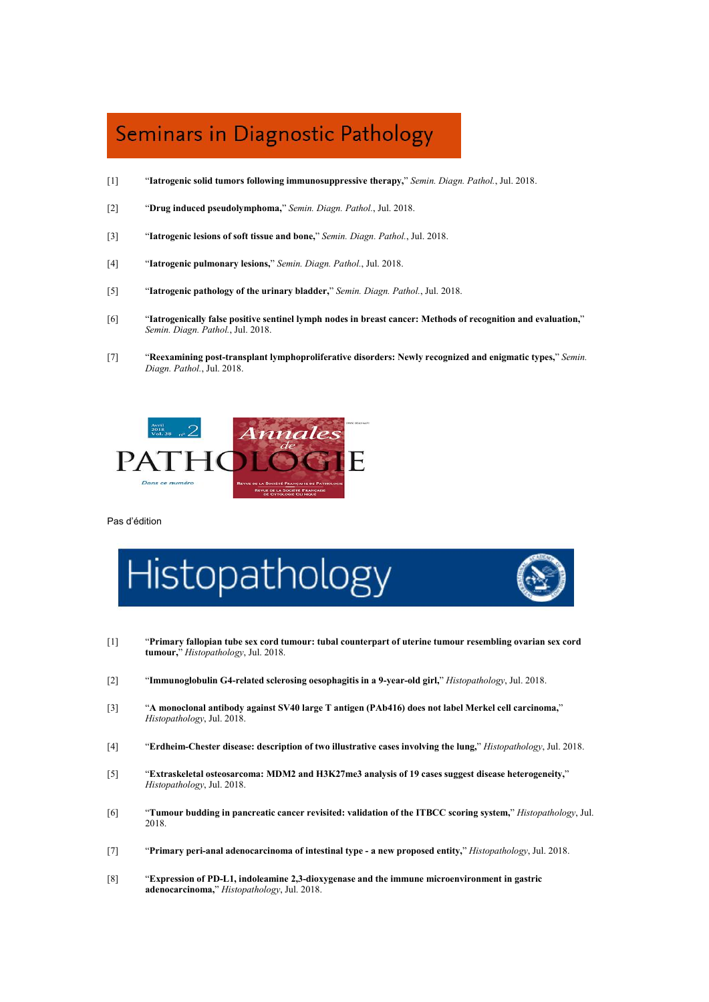### Seminars in Diagnostic Pathology

- [1] "**Iatrogenic solid tumors following immunosuppressive therapy,**" *Semin. Diagn. Pathol.*, Jul. 2018.
- [2] "**Drug induced pseudolymphoma,**" *Semin. Diagn. Pathol.*, Jul. 2018.
- [3] "**Iatrogenic lesions ofsoft tissue and bone,**" *Semin.Diagn. Pathol.*, Jul. 2018.
- [4] "**Iatrogenic pulmonary lesions,**" *Semin. Diagn. Pathol.*, Jul. 2018.
- [5] "**Iatrogenic pathology of the urinary bladder,**" *Semin. Diagn. Pathol.*, Jul. 2018.
- [6] "**Iatrogenically false positive sentinel lymph nodes in breast cancer: Methods ofrecognition and evaluation,**" *Semin. Diagn. Pathol.*, Jul. 2018.
- [7] "**Reexamining post-transplant lymphoproliferative disorders: Newly recognized and enigmatic types,**" *Semin. Diagn. Pathol.*, Jul. 2018.



Pas d'édition



- [1] "**Primary fallopian tube sex cord tumour: tubal counterpart of uterine tumour resembling ovarian sex cord tumour,**" *Histopathology*, Jul. 2018.
- [2] "**Immunoglobulin G4-related sclerosing oesophagitis in a 9-year-old girl,**" *Histopathology*, Jul. 2018.
- [3] "**A monoclonal antibody against SV40 large T antigen (PAb416)does not label Merkel cell carcinoma,**" *Histopathology*, Jul. 2018.
- [4] "**Erdheim-Chester disease: description of two illustrative cases involving the lung,**" *Histopathology*, Jul. 2018.
- [5] "**Extraskeletal osteosarcoma: MDM2 and H3K27me3 analysis of19 cases suggest disease heterogeneity,**" *Histopathology*, Jul. 2018.
- [6] "**Tumour budding in pancreatic cancer revisited: validation of the ITBCC scoring system,**" *Histopathology*, Jul. 2018.
- [7] "**Primary peri-anal adenocarcinoma of intestinal type - a new proposed entity,**" *Histopathology*, Jul. 2018.
- [8] "**Expression of PD-L1, indoleamine 2,3-dioxygenase and the immune microenvironment in gastric adenocarcinoma,**" *Histopathology*, Jul. 2018.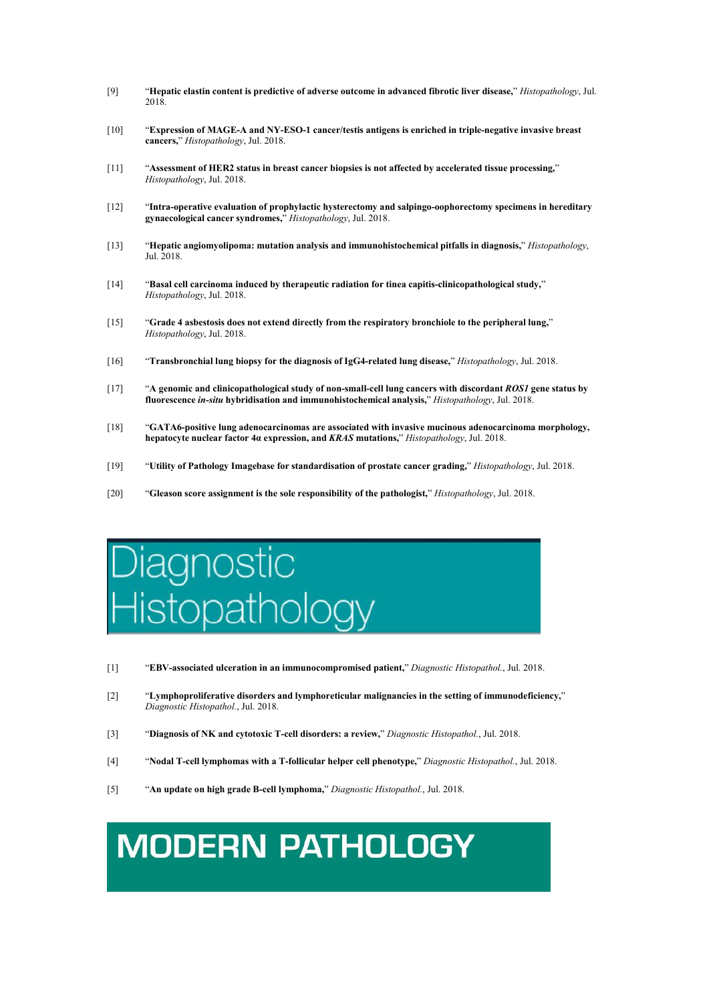- [9] "**Hepatic elastin content is predictive of adverse outcome in advanced fibrotic liver disease,**" *Histopathology*, Jul. 2018.
- [10] "**Expression of MAGE-A and NY-ESO-1 cancer/testis antigens is enriched in triple-negative invasive breast cancers,**" *Histopathology*, Jul. 2018.
- [11] "**Assessment of HER2 status in breast cancer biopsies is not affected by accelerated tissue processing,**" *Histopathology*, Jul. 2018.
- [12] "**Intra-operative evaluation of prophylactic hysterectomy and salpingo-oophorectomy specimens in hereditary gynaecological cancer syndromes,**" *Histopathology*, Jul. 2018.
- [13] "**Hepatic angiomyolipoma: mutation analysis and immunohistochemical pitfalls in diagnosis,**" *Histopathology*, Jul. 2018.
- [14] "**Basal cell carcinoma induced by therapeutic radiation for tinea capitis-clinicopathological study,**" *Histopathology*, Jul. 2018.
- [15] "**Grade 4 asbestosis does not extend directly from the respiratory bronchiole to the peripheral lung,**" *Histopathology*, Jul. 2018.
- [16] "**Transbronchial lung biopsy for the diagnosis ofIgG4-related lung disease,**" *Histopathology*, Jul. 2018.
- [17] "**A genomic and clinicopathological study of non-small-cell lung cancers with discordant** *ROS1* **gene status by fluorescence** *in-situ* **hybridisation and immunohistochemical analysis,**" *Histopathology*, Jul. 2018.
- [18] "**GATA6-positive lung adenocarcinomas are associated with invasive mucinous adenocarcinoma morphology, hepatocyte nuclear factor 4α expression, and** *KRAS* **mutations,**" *Histopathology*, Jul. 2018.
- [19] "**Utility of Pathology Imagebase for standardisation of prostate cancer grading,**" *Histopathology*, Jul. 2018.
- [20] "**Gleason score assignment is the sole responsibility of the pathologist,**" *Histopathology*, Jul. 2018.

# gnostic listopathology

- [1] "**EBV-associated ulceration in an immunocompromised patient,**" *Diagnostic Histopathol.*, Jul. 2018.
- [2] "**Lymphoproliferative disorders and lymphoreticular malignancies in the setting of immunodeficiency,**" *Diagnostic Histopathol.*, Jul. 2018.
- [3] "**Diagnosis ofNK and cytotoxic T-cell disorders: a review,**" *Diagnostic Histopathol.*, Jul. 2018.
- [4] "**Nodal T-cell lymphomas with a T-follicular helper cell phenotype,**" *Diagnostic Histopathol.*, Jul. 2018.
- [5] "**An update on high grade B-celllymphoma,**" *Diagnostic Histopathol.*, Jul. 2018.

## **MODERN PATHOLOGY**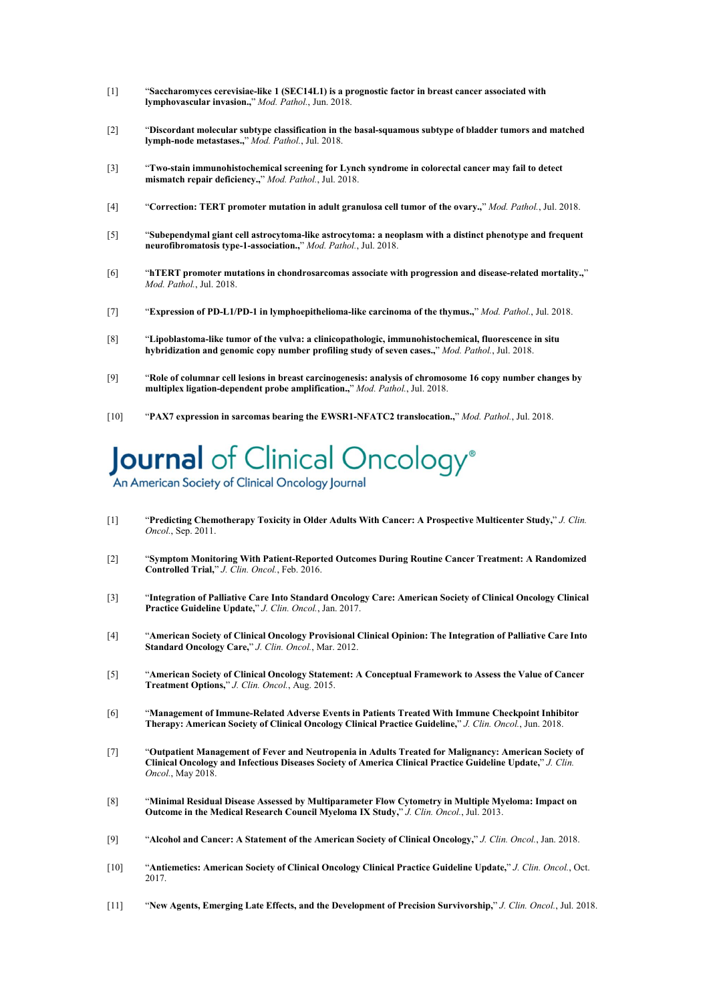- [1] "**Saccharomyces cerevisiae-like 1 (SEC14L1) is a prognostic factor in breast cancer associated with lymphovascular invasion.,**" *Mod. Pathol.*, Jun. 2018.
- [2] "**Discordant molecular subtype classification in the basal-squamous subtype of bladder tumors and matched lymph-node metastases.,**" *Mod. Pathol.*, Jul. 2018.
- [3] "**Two-stain immunohistochemical screening for Lynch syndrome in colorectal cancer may fail to detect mismatch repair deficiency.,**" *Mod. Pathol.*, Jul. 2018.
- [4] "**Correction: TERT promoter mutation in adult granulosa cell tumor of the ovary.,**" *Mod. Pathol.*, Jul. 2018.
- [5] "**Subependymal giant cell astrocytoma-like astrocytoma: a neoplasm with a distinct phenotype and frequent neurofibromatosis type-1-association.,**" *Mod. Pathol.*, Jul. 2018.
- [6] "**hTERT promotermutations in chondrosarcomas associate with progression and disease-related mortality.,**" *Mod. Pathol.*, Jul. 2018.
- [7] "**Expression of PD-L1/PD-1 in lymphoepithelioma-like carcinoma of the thymus.,**" *Mod. Pathol.*, Jul. 2018.
- [8] "**Lipoblastoma-like tumor of the vulva: a clinicopathologic, immunohistochemical, fluorescence in situ hybridization and genomic copy number profiling study of seven cases.,**" *Mod. Pathol.*, Jul. 2018.
- [9] "**Role of columnar cell lesions in breast carcinogenesis: analysis ofchromosome 16 copy number changes by multiplex ligation-dependent probe amplification.,**" *Mod. Pathol.*, Jul. 2018.
- [10] "**PAX7 expression in sarcomas bearing the EWSR1-NFATC2 translocation.,**" *Mod. Pathol.*, Jul. 2018.

# Journal of Clinical Oncology®

An American Society of Clinical Oncology Journal

- [1] "**Predicting Chemotherapy Toxicity in Older Adults With Cancer: A Prospective Multicenter Study,**" *J. Clin. Oncol.*, Sep. 2011.
- [2] "**Symptom Monitoring With Patient-Reported Outcomes During Routine Cancer Treatment: A Randomized Controlled Trial,**" *J. Clin. Oncol.*, Feb. 2016.
- [3] "**Integration of Palliative Care Into Standard Oncology Care: American Society of Clinical Oncology Clinical Practice Guideline Update,**" *J. Clin. Oncol.*, Jan. 2017.
- [4] "**American Society of Clinical Oncology Provisional Clinical Opinion: The Integration of Palliative Care Into Standard Oncology Care,**" *J. Clin. Oncol.*, Mar. 2012.
- [5] "**American Society of Clinical Oncology Statement: A Conceptual Framework toAssess the Value of Cancer Treatment Options,**" *J. Clin. Oncol.*, Aug. 2015.
- [6] "**Management of Immune-Related Adverse Events in Patients Treated With Immune Checkpoint Inhibitor Therapy: American Society of Clinical Oncology Clinical Practice Guideline,**" *J. Clin. Oncol.*, Jun. 2018.
- [7] "**Outpatient Management of Fever and Neutropenia in Adults Treated for Malignancy: American Society of Clinical Oncology and Infectious Diseases Society of America Clinical Practice Guideline Update,**" *J. Clin. Oncol.*, May 2018.
- [8] "**Minimal Residual Disease Assessed by Multiparameter Flow Cytometry in Multiple Myeloma: Impact on Outcome in the Medical Research Council Myeloma IX Study,**" *J. Clin. Oncol.*, Jul. 2013.
- [9] "**Alcohol and Cancer: A Statement of the American Society of Clinical Oncology,**" *J. Clin. Oncol.*, Jan. 2018.
- [10] "**Antiemetics: American Society of Clinical Oncology Clinical Practice Guideline Update,**" *J. Clin. Oncol.*, Oct. 2017.
- [11] "**New Agents, Emerging Late Effects, and the Development of Precision Survivorship,**" *J. Clin. Oncol.*, Jul. 2018.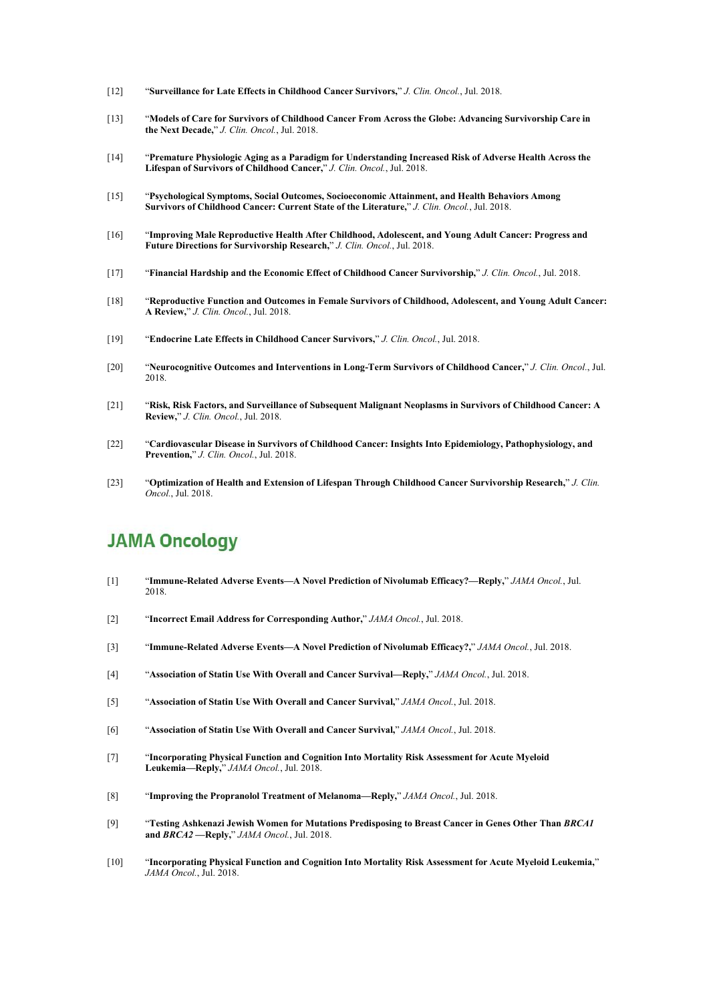- [12] "**Surveillance for Late Effects in Childhood Cancer Survivors,**" *J. Clin. Oncol.*, Jul. 2018.
- [13] "**Models ofCare for Survivors ofChildhood Cancer From Across the Globe: Advancing Survivorship Care in the Next Decade,**" *J. Clin. Oncol.*, Jul. 2018.
- [14] "**Premature Physiologic Aging as a Paradigm for Understanding Increased Risk of Adverse Health Acrossthe Lifespan of Survivors ofChildhood Cancer,**" *J. Clin. Oncol.*, Jul. 2018.
- [15] "**Psychological Symptoms, Social Outcomes, Socioeconomic Attainment, and Health Behaviors Among Survivors ofChildhood Cancer: Current State of the Literature,**" *J. Clin. Oncol.*, Jul. 2018.
- [16] "**Improving Male Reproductive Health After Childhood, Adolescent, and Young Adult Cancer: Progress and Future Directions for Survivorship Research,**" *J.Clin. Oncol.*, Jul. 2018.
- [17] "**Financial Hardship and the Economic Effect of Childhood Cancer Survivorship,**" *J. Clin. Oncol.*, Jul. 2018.
- [18] "**Reproductive Function and Outcomes in Female Survivors of Childhood, Adolescent, and Young Adult Cancer: A Review,**" *J. Clin. Oncol.*, Jul. 2018.
- [19] "**Endocrine Late Effects in Childhood Cancer Survivors,**" *J. Clin. Oncol.*, Jul. 2018.
- [20] "**Neurocognitive Outcomes and Interventions in Long-Term Survivors ofChildhood Cancer,**" *J. Clin. Oncol.*, Jul. 2018.
- [21] "**Risk, Risk Factors, and Surveillance of Subsequent Malignant Neoplasms in Survivors ofChildhood Cancer: A Review,**" *J. Clin. Oncol.*, Jul. 2018.
- [22] "**Cardiovascular Disease in Survivors ofChildhood Cancer: Insights Into Epidemiology, Pathophysiology, and Prevention,**" *J. Clin. Oncol.*, Jul. 2018.
- [23] "**Optimization of Health and Extension of Lifespan Through Childhood Cancer Survivorship Research,**" *J. Clin. Oncol.*, Jul. 2018.

#### **JAMA Oncology**

- [1] "**Immune-Related Adverse Events—A Novel Prediction of Nivolumab Efficacy?—Reply,**" *JAMA Oncol.*, Jul. 2018.
- [2] "**Incorrect Email Address for Corresponding Author,**" *JAMA Oncol.*, Jul. 2018.
- [3] "**Immune-Related Adverse Events—A Novel Prediction of Nivolumab Efficacy?,**" *JAMA Oncol.*, Jul. 2018.
- [4] "**Association of Statin Use With Overall and Cancer Survival—Reply,**" *JAMA Oncol.*, Jul. 2018.
- [5] "**Association of Statin Use With Overall and Cancer Survival,**" *JAMA Oncol.*, Jul. 2018.
- [6] "**Association of Statin Use With Overall and Cancer Survival,**" *JAMA Oncol.*, Jul. 2018.
- [7] "**Incorporating Physical Function and Cognition Into Mortality Risk Assessment for Acute Myeloid Leukemia—Reply,**" *JAMA Oncol.*, Jul. 2018.
- [8] "**Improving the Propranolol Treatment of Melanoma—Reply,**" *JAMA Oncol.*, Jul. 2018.
- [9] "**Testing Ashkenazi Jewish Women for Mutations Predisposing to Breast Cancer in Genes Other Than** *BRCA1* **and** *BRCA2* **—Reply,**" *JAMA Oncol.*, Jul. 2018.
- [10] "**Incorporating Physical Function and Cognition Into Mortality Risk Assessment for Acute Myeloid Leukemia,**" *JAMA Oncol.*, Jul. 2018.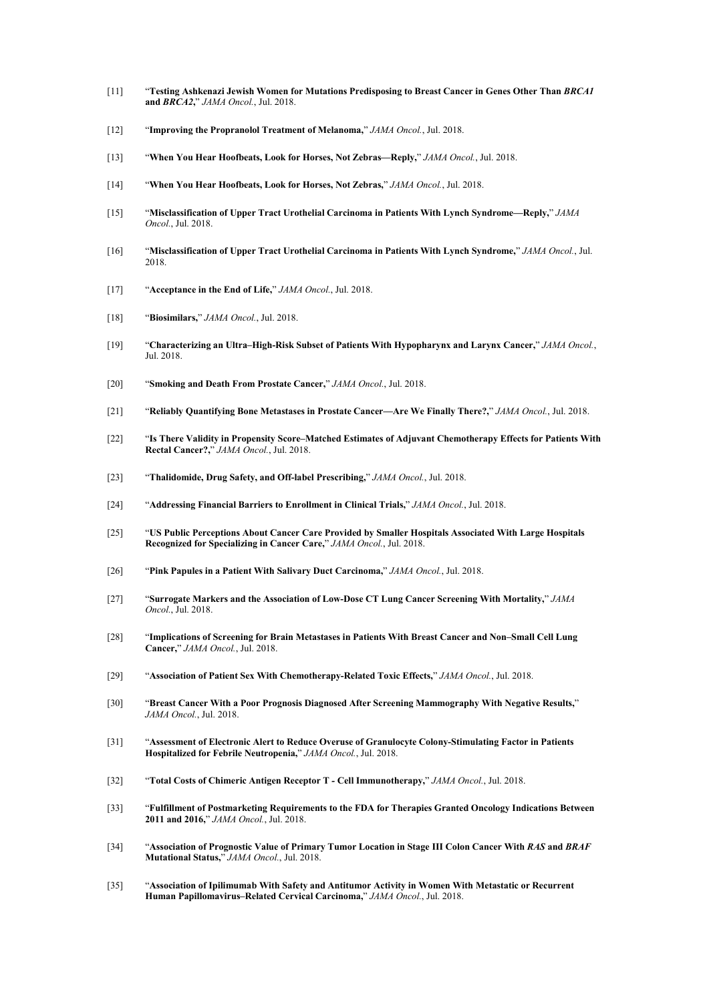- [11] "**Testing Ashkenazi Jewish Women for Mutations Predisposing to Breast Cancer in Genes Other Than** *BRCA1* **and** *BRCA2***,**" *JAMA Oncol.*, Jul. 2018.
- [12] "**Improving the Propranolol Treatment of Melanoma,**" *JAMA Oncol.*, Jul. 2018.
- [13] "**When You Hear Hoofbeats, Look for Horses, Not Zebras—Reply,**" *JAMA Oncol.*, Jul. 2018.
- [14] "**When You Hear Hoofbeats, Look for Horses, Not Zebras,**" *JAMA Oncol.*, Jul. 2018.
- [15] "**Misclassification of Upper Tract Urothelial Carcinoma in Patients With Lynch Syndrome—Reply,**" *JAMA Oncol.*, Jul. 2018.
- [16] "**Misclassification of Upper Tract Urothelial Carcinoma in Patients With Lynch Syndrome,**" *JAMA Oncol.*, Jul. 2018.
- [17] "**Acceptance in the End of Life,**" *JAMA Oncol.*, Jul. 2018.
- [18] "**Biosimilars,**" *JAMA Oncol.*, Jul. 2018.
- [19] "**Characterizing an Ultra–High-Risk Subset of Patients With Hypopharynx and Larynx Cancer,**" *JAMA Oncol.*, Jul. 2018.
- [20] "**Smoking and Death From Prostate Cancer,**" *JAMA Oncol.*, Jul. 2018.
- [21] "**Reliably Quantifying Bone Metastases in Prostate Cancer—Are We Finally There?,**" *JAMA Oncol.*, Jul. 2018.
- [22] "**Is There Validity in Propensity Score–Matched Estimates of Adjuvant Chemotherapy Effects for Patients With Rectal Cancer?,**" *JAMA Oncol.*, Jul. 2018.
- [23] "**Thalidomide, Drug Safety, and Off-label Prescribing,**" *JAMA Oncol.*, Jul. 2018.
- [24] "**Addressing FinancialBarriers to Enrollment in Clinical Trials,**" *JAMA Oncol.*, Jul. 2018.
- [25] "**US Public Perceptions About Cancer Care Provided by Smaller Hospitals Associated With Large Hospitals Recognized for Specializing in Cancer Care,**" *JAMA Oncol.*, Jul. 2018.
- [26] "**Pink Papules in a Patient With Salivary Duct Carcinoma,**" *JAMA Oncol.*, Jul. 2018.
- [27] "**Surrogate Markers and the Association of Low-Dose CT Lung Cancer Screening With Mortality,**" *JAMA Oncol.*, Jul. 2018.
- [28] "**Implications ofScreening for Brain Metastases in Patients With Breast Cancer and Non–Small Cell Lung Cancer,**" *JAMA Oncol.*, Jul. 2018.
- [29] "**Association of Patient Sex With Chemotherapy-Related Toxic Effects,**" *JAMA Oncol.*, Jul. 2018.
- [30] "**Breast Cancer With a Poor Prognosis Diagnosed After Screening Mammography With Negative Results,**" *JAMA Oncol.*, Jul. 2018.
- [31] "**Assessment of Electronic Alert to Reduce Overuse of Granulocyte Colony-Stimulating Factor in Patients Hospitalized for Febrile Neutropenia,**" *JAMA Oncol.*, Jul. 2018.
- [32] "**Total Costs ofChimeric Antigen Receptor T** *-* **Cell Immunotherapy,**" *JAMA Oncol.*, Jul. 2018.
- [33] "**Fulfillment of Postmarketing Requirements to the FDA for Therapies Granted Oncology Indications Between 2011 and 2016,**" *JAMA Oncol.*, Jul. 2018.
- [34] "Association of Prognostic Value of Primary Tumor Location in Stage III Colon Cancer With RAS and BRAF **Mutational Status,**" *JAMA Oncol.*, Jul. 2018.
- [35] "**Association of Ipilimumab With Safety and Antitumor Activity in Women With Metastatic or Recurrent Human Papillomavirus–Related Cervical Carcinoma,**" *JAMA Oncol.*, Jul. 2018.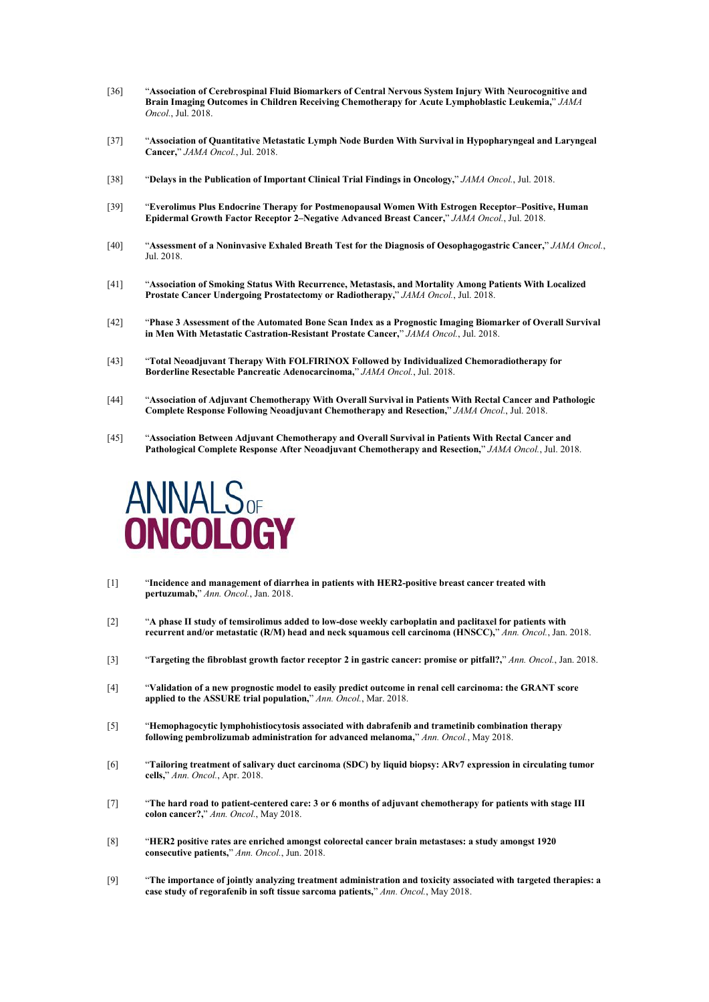- [36] "**Association of Cerebrospinal Fluid Biomarkers of Central Nervous System Injury With Neurocognitive and Brain Imaging Outcomes in Children Receiving Chemotherapy for Acute Lymphoblastic Leukemia,**" *JAMA Oncol.*, Jul. 2018.
- [37] "**Association of Quantitative Metastatic Lymph Node Burden With Survival in Hypopharyngeal and Laryngeal Cancer,**" *JAMA Oncol.*, Jul. 2018.
- [38] "**Delays in the Publication of Important Clinical Trial Findings in Oncology,**" *JAMA Oncol.*, Jul. 2018.
- [39] "**Everolimus Plus Endocrine Therapy for Postmenopausal Women With Estrogen Receptor–Positive, Human Epidermal Growth Factor Receptor 2–Negative Advanced Breast Cancer,**" *JAMA Oncol.*, Jul. 2018.
- [40] "**Assessment of a Noninvasive Exhaled Breath Test for the Diagnosis ofOesophagogastric Cancer,**" *JAMA Oncol.*, Jul. 2018.
- [41] "**Association of Smoking Status With Recurrence, Metastasis, and Mortality Among Patients With Localized Prostate Cancer Undergoing Prostatectomy or Radiotherapy,**" *JAMA Oncol.*, Jul. 2018.
- [42] "Phase 3 Assessment of the Automated Bone Scan Index as a Prognostic Imaging Biomarker of Overall Survival **in Men With Metastatic Castration-Resistant Prostate Cancer,**" *JAMA Oncol.*, Jul. 2018.
- [43] "**Total Neoadjuvant Therapy With FOLFIRINOX Followed by Individualized Chemoradiotherapy for Borderline Resectable Pancreatic Adenocarcinoma,**" *JAMA Oncol.*, Jul. 2018.
- [44] "**Association of Adjuvant Chemotherapy With Overall Survival in Patients With Rectal Cancer and Pathologic Complete Response Following Neoadjuvant Chemotherapy and Resection,**" *JAMA Oncol.*, Jul. 2018.
- [45] "**Association Between AdjuvantChemotherapy and Overall Survival in Patients With Rectal Cancer and Pathological Complete Response After Neoadjuvant Chemotherapy and Resection,**" *JAMA Oncol.*, Jul. 2018.



- [1] "**Incidence and management of diarrhea in patients with HER2-positive breast cancer treated with pertuzumab,**" *Ann. Oncol.*, Jan. 2018.
- [2] "**A phase IIstudy of temsirolimus added tolow-dose weekly carboplatin and paclitaxel for patients with recurrent and/or metastatic (R/M) head and neck squamous cell carcinoma (HNSCC),**" *Ann. Oncol.*, Jan. 2018.
- [3] "**Targeting the fibroblast growth factor receptor 2 in gastric cancer: promise or pitfall?,**" *Ann. Oncol.*, Jan. 2018.
- [4] "Validation of a new prognostic model to easily predict outcome in renal cell carcinoma: the GRANT score **applied tothe ASSURE trial population,**" *Ann. Oncol.*, Mar. 2018.
- [5] "**Hemophagocytic lymphohistiocytosis associated with dabrafenib and trametinib combination therapy following pembrolizumab administration for advanced melanoma,**" *Ann. Oncol.*, May 2018.
- [6] "**Tailoring treatment of salivary duct carcinoma (SDC) by liquid biopsy: ARv7 expression in circulating tumor cells,**" *Ann. Oncol.*, Apr. 2018.
- [7] "**The hard road topatient-centered care: 3 or 6 months ofadjuvant chemotherapy for patients with stage III colon cancer?,**" *Ann. Oncol.*, May 2018.
- [8] "**HER2 positive rates are enriched amongst colorectal cancer brain metastases: a study amongst 1920 consecutive patients,**" *Ann. Oncol.*, Jun. 2018.
- [9] "**The importance of jointly analyzing treatment administration and toxicity associated with targeted therapies: a case study of regorafenib in soft tissue sarcoma patients,**" *Ann. Oncol.*, May 2018.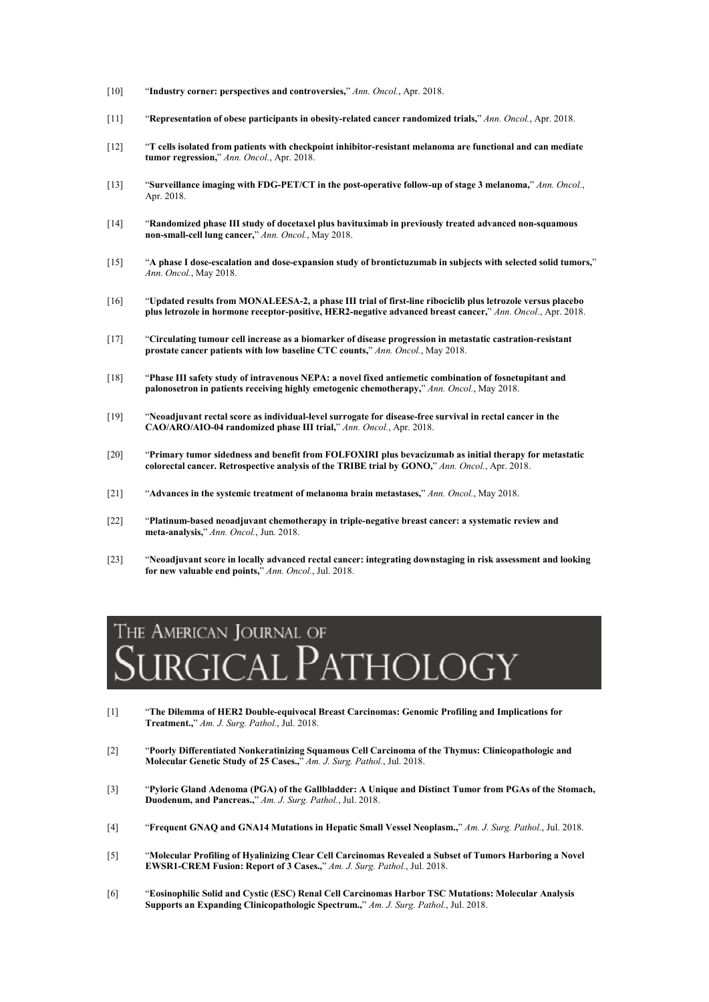- [10] "**Industry corner: perspectives and controversies,**" *Ann. Oncol.*, Apr. 2018.
- [11] "**Representation of obese participants in obesity-related cancer randomized trials,**" *Ann. Oncol.*, Apr. 2018.
- [12] "**T cells isolated from patients with checkpoint inhibitor-resistant melanoma are functional and can mediate tumor regression,**" *Ann. Oncol.*, Apr. 2018.
- [13] "**Surveillance imaging with FDG-PET/CT in the post-operative follow-up of stage 3 melanoma,**" *Ann. Oncol.*, Apr. 2018.
- [14] "**Randomized phase III study of docetaxel plus bavituximab in previously treated advanced non-squamous non-small-cell lung cancer,**" *Ann. Oncol.*, May 2018.
- [15] "**A phase I dose-escalation and dose-expansion study of brontictuzumab in subjects with selected solid tumors,**" *Ann. Oncol.*, May 2018.
- [16] "**Updated results from MONALEESA-2, a phase III trialof first-line ribociclib plus letrozole versus placebo plus letrozole in hormone receptor-positive, HER2-negative advanced breast cancer,**" *Ann. Oncol.*, Apr. 2018.
- [17] "**Circulating tumour cell increase as a biomarker of disease progression in metastatic castration-resistant prostate cancer patients with low baseline CTC counts,**" *Ann. Oncol.*,May 2018.
- [18] "**Phase III safety study of intravenous NEPA: a novel fixed antiemetic combination of fosnetupitant and palonosetron in patients receiving highly emetogenic chemotherapy,**" *Ann. Oncol.*, May 2018.
- [19] "**Neoadjuvant rectal score as individual-level surrogate for disease-free survival in rectal cancer in the CAO/ARO/AIO-04 randomized phase III trial,**" *Ann. Oncol.*, Apr. 2018.
- [20] "**Primary tumor sidedness and benefit from FOLFOXIRI plus bevacizumab as initial therapy for metastatic colorectal cancer. Retrospective analysis ofthe TRIBE trial by GONO,**" *Ann. Oncol.*, Apr. 2018.
- [21] "**Advances in the systemic treatment of melanoma brain metastases,**" *Ann. Oncol.*, May 2018.
- [22] "**Platinum-based neoadjuvant chemotherapy in triple-negative breast cancer: a systematic review and meta-analysis,**" *Ann. Oncol.*, Jun. 2018.
- [23] "**Neoadjuvant score in locally advanced rectal cancer: integrating downstaging in risk assessment and looking for new valuable end points,**" *Ann. Oncol.*, Jul. 2018.

### THE AMERICAN JOURNAL OF rgical Pathology

- [1] "**The Dilemma of HER2 Double-equivocal Breast Carcinomas: Genomic Profiling and Implications for Treatment.,**" *Am. J. Surg. Pathol.*, Jul. 2018.
- [2] "**Poorly Differentiated Nonkeratinizing Squamous Cell Carcinoma of the Thymus: Clinicopathologic and Molecular Genetic Study of 25 Cases.,**" *Am. J. Surg. Pathol.*, Jul. 2018.
- [3] "Pyloric Gland Adenoma (PGA) of the Gallbladder: A Unique and Distinct Tumor from PGAs of the Stomach, **Duodenum, and Pancreas.,**" *Am. J. Surg. Pathol.*, Jul. 2018.
- [4] "**Frequent GNAQ and GNA14Mutations in Hepatic Small Vessel Neoplasm.,**" *Am. J. Surg. Pathol.*, Jul. 2018.
- [5] "**Molecular Profiling of Hyalinizing Clear Cell Carcinomas Revealed a Subset of Tumors Harboring a Novel EWSR1-CREM Fusion: Report of 3 Cases.,**" *Am. J. Surg. Pathol.*, Jul. 2018.
- [6] "**Eosinophilic Solid and Cystic (ESC) Renal Cell Carcinomas Harbor TSC Mutations: Molecular Analysis Supports an Expanding Clinicopathologic Spectrum.,**" *Am. J. Surg. Pathol.*, Jul. 2018.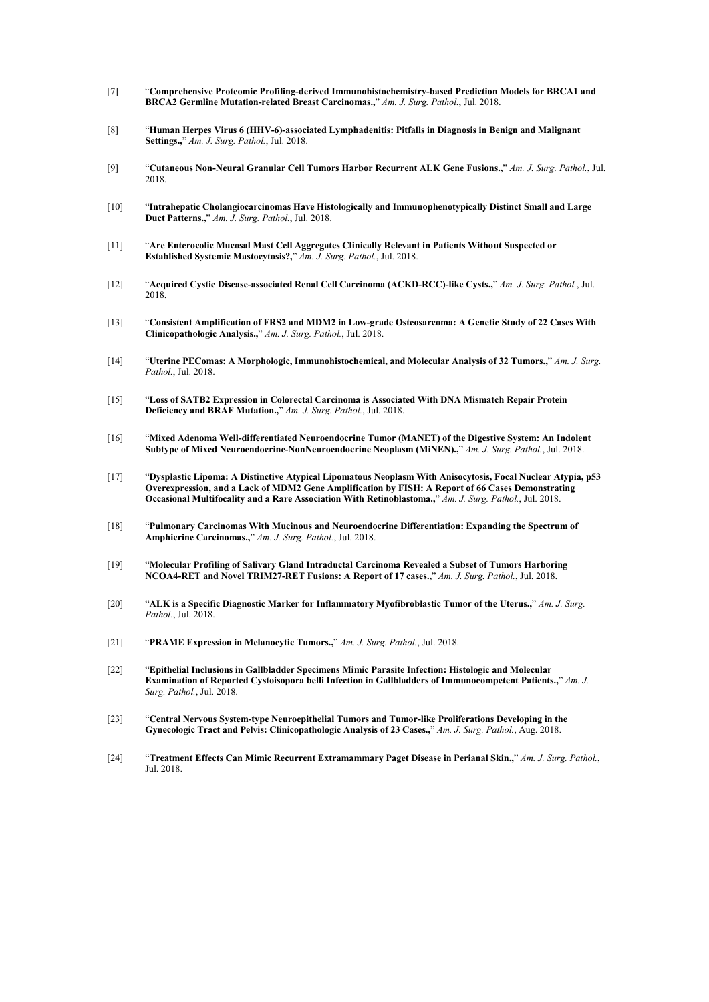- [7] "**Comprehensive Proteomic Profiling-derived Immunohistochemistry-based Prediction Models for BRCA1 and BRCA2 Germline Mutation-related Breast Carcinomas.,**" *Am. J. Surg. Pathol.*, Jul. 2018.
- [8] "**Human Herpes Virus 6 (HHV-6)-associated Lymphadenitis: Pitfalls in Diagnosis in Benign and Malignant Settings.,**" *Am. J. Surg. Pathol.*, Jul. 2018.
- [9] "**Cutaneous Non-Neural Granular Cell Tumors Harbor Recurrent ALK Gene Fusions.,**" *Am. J. Surg. Pathol.*, Jul. 2018.
- [10] "**Intrahepatic Cholangiocarcinomas Have Histologically and Immunophenotypically Distinct Small and Large Duct Patterns.,**" *Am. J. Surg. Pathol.*, Jul. 2018.
- [11] "**Are Enterocolic Mucosal Mast Cell Aggregates Clinically Relevant in Patients Without Suspected or Established Systemic Mastocytosis?,**" *Am. J. Surg. Pathol.*, Jul. 2018.
- [12] "**Acquired Cystic Disease-associated Renal Cell Carcinoma (ACKD-RCC)-like Cysts.,**" *Am. J. Surg. Pathol.*, Jul. 2018.
- [13] "**Consistent Amplification of FRS2 and MDM2 in Low-grade Osteosarcoma: A Genetic Study of 22 Cases With Clinicopathologic Analysis.,**" *Am. J. Surg. Pathol.*, Jul. 2018.
- [14] "**Uterine PEComas: A Morphologic, Immunohistochemical, and Molecular Analysis of32 Tumors.,**" *Am. J. Surg. Pathol.*, Jul. 2018.
- [15] "**Loss ofSATB2 Expression in Colorectal Carcinoma is Associated With DNA Mismatch Repair Protein Deficiency and BRAF Mutation.,**" *Am. J. Surg. Pathol.*, Jul. 2018.
- [16] "**Mixed Adenoma Well-differentiated Neuroendocrine Tumor (MANET) of the Digestive System: An Indolent Subtype of Mixed Neuroendocrine-NonNeuroendocrine Neoplasm (MiNEN).,**" *Am. J. Surg. Pathol.*, Jul. 2018.
- [17] "**Dysplastic Lipoma: A Distinctive Atypical Lipomatous Neoplasm With Anisocytosis,Focal Nuclear Atypia, p53 Overexpression, and a Lack ofMDM2 Gene Amplification by FISH:A Report of 66 Cases Demonstrating Occasional Multifocality and a Rare Association With Retinoblastoma.,**" *Am. J. Surg. Pathol.*, Jul. 2018.
- [18] "**Pulmonary Carcinomas With Mucinous and Neuroendocrine Differentiation: Expanding the Spectrum of Amphicrine Carcinomas.,**" *Am. J. Surg. Pathol.*, Jul. 2018.
- [19] "**Molecular Profiling of Salivary Gland Intraductal Carcinoma Revealed a Subset of Tumors Harboring NCOA4-RET and Novel TRIM27-RET Fusions: A Report of 17 cases.,**" *Am. J. Surg. Pathol.*, Jul. 2018.
- [20] "**ALK is a Specific Diagnostic Marker for Inflammatory Myofibroblastic Tumor of the Uterus.,**" *Am. J. Surg. Pathol.*, Jul. 2018.
- [21] "**PRAME Expression in Melanocytic Tumors.,**" *Am. J. Surg. Pathol.*, Jul. 2018.
- [22] "**Epithelial Inclusions in Gallbladder Specimens Mimic Parasite Infection: Histologic and Molecular Examination of Reported Cystoisopora belli Infection in Gallbladders ofImmunocompetent Patients.,**" *Am. J. Surg. Pathol.*, Jul. 2018.
- [23] "**Central Nervous System-type Neuroepithelial Tumors and Tumor-like Proliferations Developing in the Gynecologic Tract and Pelvis: Clinicopathologic Analysis of23 Cases.,**" *Am. J. Surg. Pathol.*, Aug. 2018.
- [24] "**Treatment Effects Can Mimic Recurrent Extramammary Paget Disease in Perianal Skin.,**" *Am. J. Surg. Pathol.*, Jul. 2018.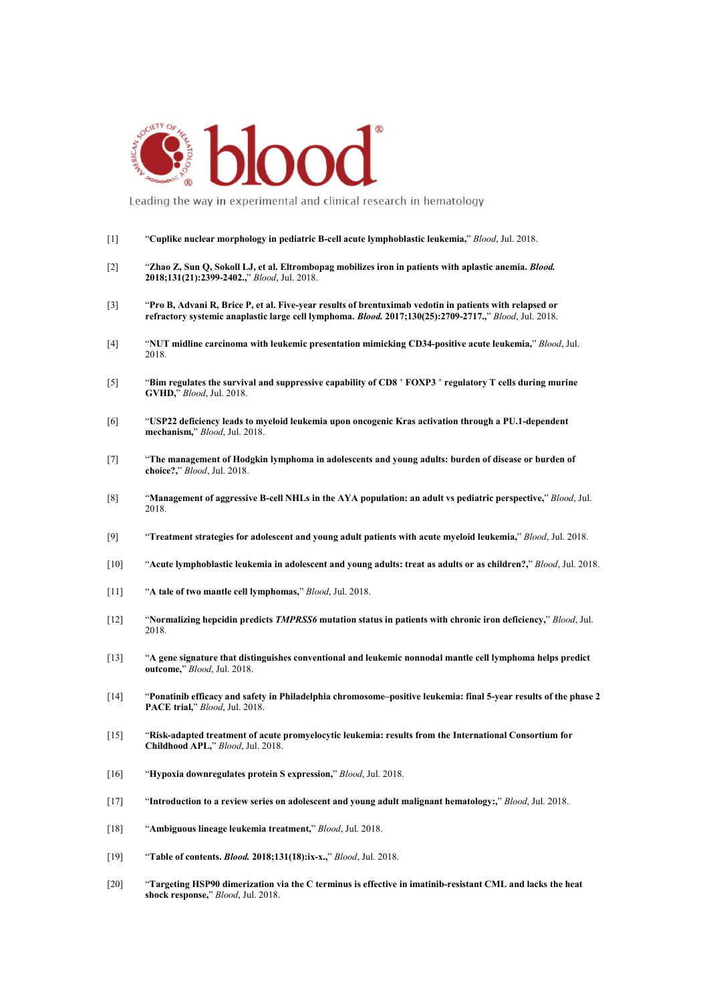

Leading the way in experimental and clinical research in hematology

#### [1] "**Cuplike nuclear morphology in pediatric B-cell acute lymphoblastic leukemia,**" *Blood*, Jul. 2018.

- [2] "**Zhao Z, Sun Q, Sokoll LJ,et al. Eltrombopag mobilizes iron in patients with aplastic anemia.** *Blood.* **2018;131(21):2399-2402.,**" *Blood*, Jul. 2018.
- [3] "**Pro B, Advani R, Brice P, etal. Five-year results ofbrentuximab vedotin in patients with relapsed or refractory systemic anaplastic large cell lymphoma.** *Blood.* **2017;130(25):2709-2717.,**" *Blood*, Jul. 2018.
- [4] "**NUT midline carcinoma with leukemic presentation mimicking CD34-positive acute leukemia,**" *Blood*, Jul. 2018.
- [5] "Bim regulates the survival and suppressive capability of CD8 + FOXP3 + regulatory T cells during murine **GVHD,**" *Blood*, Jul. 2018.
- [6] "**USP22 deficiency leads to myeloid leukemia upon oncogenic Kras activation through a PU.1-dependent mechanism,**" *Blood*, Jul. 2018.
- [7] "**The management of Hodgkin lymphoma in adolescents and young adults:burden of disease or burden of choice?,**" *Blood*, Jul. 2018.
- [8] "**Management of aggressive B-cell NHLs in the AYA population: an adult vs pediatric perspective,**" *Blood*, Jul. 2018.
- [9] "**Treatment strategies for adolescent and young adult patients with acute myeloid leukemia,**" *Blood*, Jul. 2018.
- [10] "**Acute lymphoblastic leukemia in adolescent and young adults:treat as adults or as children?,**" *Blood*, Jul. 2018.
- [11] "**A tale of two mantle cell lymphomas,**" *Blood*, Jul. 2018.
- [12] "**Normalizing hepcidin predicts** *TMPRSS6* **mutation status in patients with chronic iron deficiency,**" *Blood*, Jul. 2018.
- [13] "**A gene signature that distinguishes conventional and leukemic nonnodal mantle cell lymphoma helps predict outcome,**" *Blood*, Jul. 2018.
- [14] "**Ponatinib efficacy and safety in Philadelphia chromosome–positive leukemia: final 5-year results ofthe phase 2 PACE trial,**" *Blood*, Jul. 2018.
- [15] "**Risk-adapted treatment of acute promyelocytic leukemia: results from the International Consortium for Childhood APL,**" *Blood*,Jul. 2018.
- [16] "**Hypoxia downregulates protein S expression,**" *Blood*, Jul. 2018.
- [17] "**Introduction toa review series on adolescent and young adult malignant hematology:,**" *Blood*, Jul. 2018.
- [18] "**Ambiguous lineage leukemia treatment,**" *Blood*, Jul. 2018.
- [19] "**Table of contents.** *Blood.* **2018;131(18):ix-x.,**" *Blood*, Jul. 2018.
- [20] "Targeting HSP90 dimerization via the C terminus is effective in imatinib-resistant CML and lacks the heat shock response," Blood, Jul. 2018.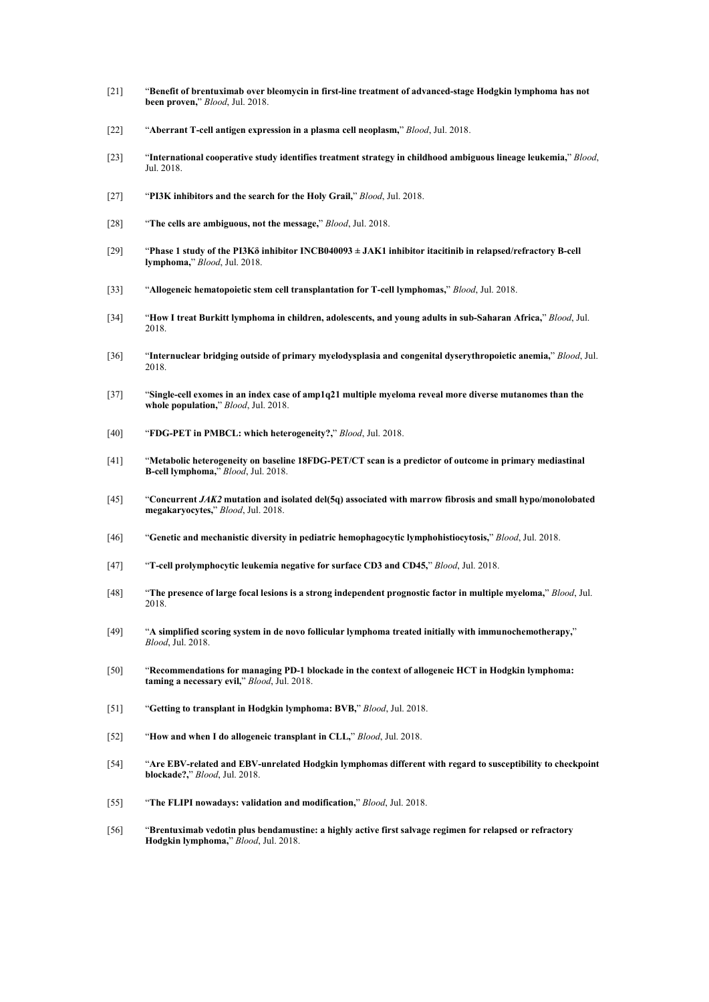- [21] "**Benefit of brentuximab overbleomycin in first-line treatment of advanced-stage Hodgkin lymphoma has not been proven,**" *Blood*, Jul. 2018.
- [22] "**Aberrant T-cell antigen expression in a plasma cell neoplasm,**" *Blood*, Jul. 2018.
- [23] "**International cooperative study identifies treatment strategy in childhood ambiguous lineage leukemia,**" *Blood*, Jul. 2018.
- [27] "**PI3K inhibitors and the search for the Holy Grail,**" *Blood*, Jul. 2018.
- [28] "**The cells are ambiguous, not the message,**" *Blood*, Jul. 2018.
- [29] "**Phase 1 study of the PI3Kδ inhibitor INCB040093 ± JAK1 inhibitor itacitinib in relapsed/refractory B-cell lymphoma,**" *Blood*, Jul. 2018.
- [33] "**Allogeneic hematopoietic stem cell transplantation for T-cell lymphomas,**" *Blood*, Jul. 2018.
- [34] "**How I treat Burkitt lymphoma in children, adolescents, and young adults in sub-Saharan Africa,**" *Blood*, Jul. 2018.
- [36] "**Internuclear bridging outside of primary myelodysplasia and congenital dyserythropoietic anemia,**" *Blood*, Jul. 2018.
- [37] "**Single-cell exomes in an index case of amp1q21 multiple myeloma reveal more diverse mutanomes than the whole population,**" *Blood*, Jul. 2018.
- [40] "**FDG-PET in PMBCL:which heterogeneity?,**" *Blood*, Jul. 2018.
- [41] "**Metabolic heterogeneity on baseline 18FDG-PET/CT scan is a predictor of outcome in primary mediastinal B-cell lymphoma,**" *Blood*, Jul. 2018.
- [45] "**Concurrent** *JAK2* **mutation and isolated del(5q) associated with marrow fibrosis and small hypo/monolobated megakaryocytes,**" *Blood*, Jul. 2018.
- [46] "**Genetic and mechanistic diversity in pediatric hemophagocytic lymphohistiocytosis,**" *Blood*, Jul. 2018.
- [47] "**T-cell prolymphocytic leukemia negative for surface CD3 and CD45,**" *Blood*, Jul. 2018.
- [48] "The presence of large focal lesions is a strong independent prognostic factor in multiple myeloma," Blood, Jul. 2018.
- [49] "**A simplified scoring system in de novo follicular lymphoma treated initially with immunochemotherapy,**" *Blood*, Jul. 2018.
- [50] "**Recommendations for managing PD-1 blockade in the context of allogeneic HCT in Hodgkin lymphoma: taming a necessary evil,**" *Blood*, Jul. 2018.
- [51] "**Getting to transplant in Hodgkin lymphoma: BVB,**" *Blood*, Jul. 2018.
- [52] "**How and when I do allogeneic transplant in CLL,**" *Blood*, Jul. 2018.
- [54] "**Are EBV-related and EBV-unrelated Hodgkin lymphomas different with regard tosusceptibility to checkpoint blockade?,**" *Blood*, Jul. 2018.
- [55] "**The FLIPI nowadays: validation and modification,**" *Blood*, Jul. 2018.
- [56] "**Brentuximab vedotin plus bendamustine: a highly active firstsalvage regimen for relapsed or refractory Hodgkin lymphoma,**" *Blood*, Jul. 2018.